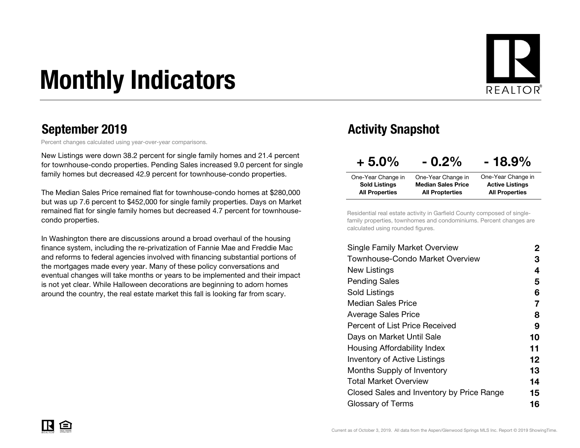# Monthly Indicators



Percent changes calculated using year-over-year comparisons.

New Listings were down 38.2 percent for single family homes and 21.4 percent for townhouse-condo properties. Pending Sales increased 9.0 percent for single family homes but decreased 42.9 percent for townhouse-condo properties.

The Median Sales Price remained flat for townhouse-condo homes at \$280,000 but was up 7.6 percent to \$452,000 for single family properties. Days on Market remained flat for single family homes but decreased 4.7 percent for townhousecondo properties.

In Washington there are discussions around a broad overhaul of the housing finance system, including the re-privatization of Fannie Mae and Freddie Mac and reforms to federal agencies involved with financing substantial portions of the mortgages made every year. Many of these policy conversations and eventual changes will take months or years to be implemented and their impact is not yet clear. While Halloween decorations are beginning to adorn homes around the country, the real estate market this fall is looking far from scary.

#### September 2019 **Activity Snapshot** September 2019

| $+5.0\%$              | $-0.2\%$                  | $-18.9\%$              |
|-----------------------|---------------------------|------------------------|
| One-Year Change in    | One-Year Change in        | One-Year Change in     |
| <b>Sold Listings</b>  | <b>Median Sales Price</b> | <b>Active Listings</b> |
| <b>All Properties</b> | <b>All Propterties</b>    | <b>All Properties</b>  |

Residential real estate activity in Garfield County composed of singlefamily properties, townhomes and condominiums. Percent changes are calculated using rounded figures.

| Single Family Market Overview             | 2       |
|-------------------------------------------|---------|
| Townhouse-Condo Market Overview           | З       |
| New Listings                              | 4       |
| <b>Pending Sales</b>                      | 5       |
| Sold Listings                             | 6       |
| <b>Median Sales Price</b>                 | 7       |
| Average Sales Price                       | 8       |
| <b>Percent of List Price Received</b>     | 9       |
| Days on Market Until Sale                 | 10      |
| Housing Affordability Index               | 11      |
| <b>Inventory of Active Listings</b>       | $12 \,$ |
| <b>Months Supply of Inventory</b>         | 13      |
| Total Market Overview                     | 14      |
| Closed Sales and Inventory by Price Range | 15      |
| Glossary of Terms                         | 16      |
|                                           |         |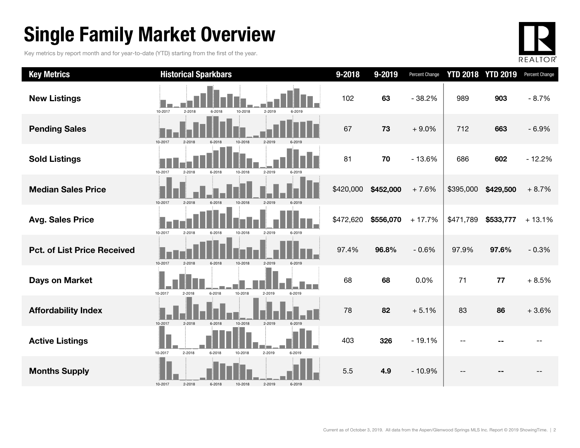### Single Family Market Overview

Key metrics by report month and for year-to-date (YTD) starting from the first of the year.



| <b>Key Metrics</b>                 | <b>Historical Sparkbars</b>                                    | $9 - 2018$ | 9-2019    | Percent Change |           | <b>YTD 2018 YTD 2019</b> | Percent Change |
|------------------------------------|----------------------------------------------------------------|------------|-----------|----------------|-----------|--------------------------|----------------|
| <b>New Listings</b>                | 10-2017<br>2-2018<br>10-2018<br>2-2019<br>6-2019<br>6-2018     | 102        | 63        | $-38.2%$       | 989       | 903                      | $-8.7%$        |
| <b>Pending Sales</b>               | 10-2017<br>2-2018<br>6-2018<br>10-2018<br>2-2019               | 67         | 73        | $+9.0%$        | 712       | 663                      | $-6.9%$        |
| <b>Sold Listings</b>               | 10-2017<br>2-2018<br>10-2018<br>2-2019<br>6-2018<br>6-2019     | 81         | 70        | $-13.6%$       | 686       | 602                      | $-12.2%$       |
| <b>Median Sales Price</b>          | 10-2017<br>2-2018<br>6-2018<br>10-2018<br>2-2019               | \$420,000  | \$452,000 | $+7.6%$        | \$395,000 | \$429,500                | $+8.7%$        |
| <b>Avg. Sales Price</b>            | 10-2017<br>2-2018<br>2-2019<br>6-2018<br>10-2018<br>6-2019     | \$472,620  | \$556,070 | $+17.7%$       | \$471,789 | \$533,777                | $+13.1%$       |
| <b>Pct. of List Price Received</b> | 10-2017<br>2-2019<br>2-2018<br>6-2018<br>10-2018<br>6-2019     | 97.4%      | 96.8%     | $-0.6%$        | 97.9%     | 97.6%                    | $-0.3%$        |
| <b>Days on Market</b>              | 10-2017<br>6-2018<br>10-2018<br>$2 - 2018$<br>2-2019<br>6-2019 | 68         | 68        | 0.0%           | 71        | 77                       | $+8.5%$        |
| <b>Affordability Index</b>         | 10-2017<br>2-2018<br>6-2018<br>10-2018<br>2-2019<br>6-2019     | 78         | 82        | $+5.1%$        | 83        | 86                       | $+3.6%$        |
| <b>Active Listings</b>             | 10-2017<br>2-2018<br>6-2018<br>10-2018<br>2-2019<br>6-2019     | 403        | 326       | $-19.1%$       | $-$       |                          |                |
| <b>Months Supply</b>               | 2-2018<br>10-2017<br>2-2019<br>6-2018<br>6-2019<br>10-2018     | 5.5        | 4.9       | $-10.9%$       |           |                          |                |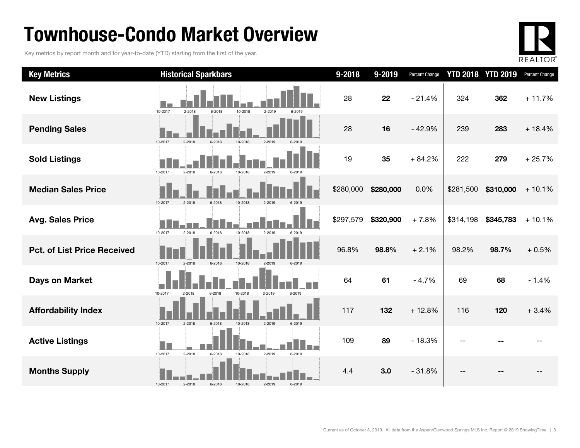### Townhouse-Condo Market Overview

Key metrics by report month and for year-to-date (YTD) starting from the first of the year.



| <b>Key Metrics</b>                 | <b>Historical Sparkbars</b>                                    | 9-2018    | 9-2019    | Percent Change |           | <b>YTD 2018 YTD 2019</b> | Percent Change |
|------------------------------------|----------------------------------------------------------------|-----------|-----------|----------------|-----------|--------------------------|----------------|
| <b>New Listings</b>                | 10-2018<br>10-2017<br>2-2018<br>2-2019<br>6-2018<br>6-2019     | 28        | 22        | $-21.4%$       | 324       | 362                      | $+11.7%$       |
| <b>Pending Sales</b>               | 10-2017<br>$2-2018$<br>2-2019                                  | 28        | 16        | $-42.9%$       | 239       | 283                      | $+18.4%$       |
| <b>Sold Listings</b>               | 10-2017<br>2-2018<br>6-2018<br>10-2018<br>2-2019<br>6-2019     | 19        | 35        | $+84.2%$       | 222       | 279                      | $+25.7%$       |
| <b>Median Sales Price</b>          | 10-2017<br>6-2018                                              | \$280,000 | \$280,000 | 0.0%           | \$281,500 | \$310,000                | $+10.1%$       |
| <b>Avg. Sales Price</b>            | 10-2017<br>2-2018<br>10-2018<br>6-2018<br>2-2019<br>6-2019     | \$297,579 | \$320,900 | $+7.8%$        | \$314,198 | \$345,783                | $+10.1%$       |
| <b>Pct. of List Price Received</b> | 10-2017<br>10-2018<br>2-2018<br>6-2018                         | 96.8%     | 98.8%     | $+2.1%$        | 98.2%     | 98.7%                    | $+0.5%$        |
| <b>Days on Market</b>              | 10-2017<br>6-2018<br>10-2018<br>2-2019<br>$2 - 2018$<br>6-2019 | 64        | 61        | $-4.7%$        | 69        | 68                       | $-1.4%$        |
| <b>Affordability Index</b>         | 10-2017<br>2-2018<br>2-2019<br>6-2018<br>10-2018<br>6-2019     | 117       | 132       | $+12.8%$       | 116       | 120                      | $+3.4%$        |
| <b>Active Listings</b>             | 10-2017<br>2-2018<br>6-2018<br>2-2019<br>10-2018<br>6-2019     | 109       | 89        | $-18.3%$       |           |                          |                |
| <b>Months Supply</b>               | 10-2017<br>2-2018<br>6-2018<br>2-2019<br>6-2019<br>10-2018     | 4.4       | 3.0       | $-31.8%$       | $-$       |                          |                |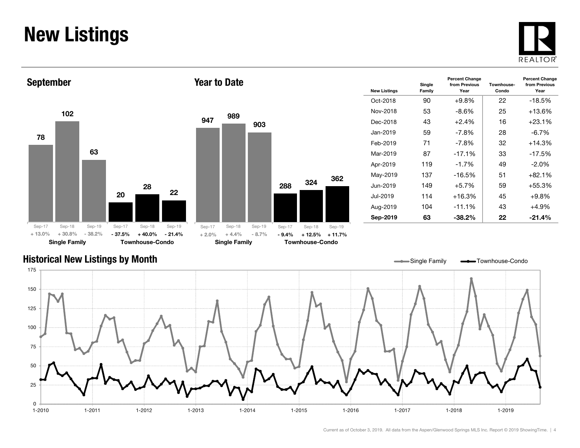### New Listings







Year to Date

| <b>New Listings</b> | Single<br>Family | <b>Percent Change</b><br>from Previous<br>Year | Townhouse-<br>Condo | <b>Percent Change</b><br>from Previous<br>Year |
|---------------------|------------------|------------------------------------------------|---------------------|------------------------------------------------|
| $Oct-2018$          | 90               | +9.8%                                          | 22                  | $-18.5\%$                                      |
| Nov-2018            | 53               | -8.6%                                          | 25                  | $+13.6%$                                       |
| Dec-2018            | 43               | $+2.4%$                                        | 16                  | $+23.1%$                                       |
| Jan-2019.           | 59               | -7.8%                                          | 28                  | -6.7%                                          |
| Feb-2019            | 71               | $-7.8%$                                        | 32                  | $+14.3%$                                       |
| Mar-2019            | 87               | $-17.1%$                                       | 33                  | $-17.5%$                                       |
| Apr-2019            | 119              | $-1.7\%$                                       | 49                  | $-2.0\%$                                       |
| May-2019            | 137              | $-16.5%$                                       | 51                  | $+82.1%$                                       |
| Jun-2019            | 149              | +5.7%                                          | 59                  | $+55.3%$                                       |
| Jul-2019            | 114              | +16.3%                                         | 45                  | $+9.8\%$                                       |
| Aug-2019            | 104              | $-11.1%$                                       | 43                  | $+4.9%$                                        |
| Sep-2019            | 63               | $-38.2%$                                       | 22                  | $-21.4%$                                       |

#### Historical New Listings by Month

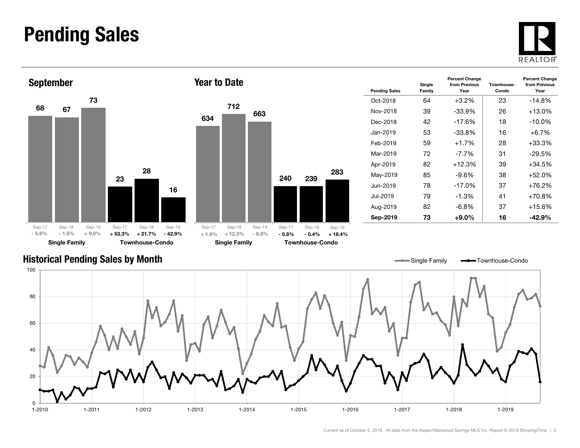#### Pending Sales







| <b>Pending Sales</b> | Single<br>Family | <b>Percent Change</b><br>from Previous<br>Year | Townhouse-<br>Condo | <b>Percent Change</b><br>from Previous<br>Year |
|----------------------|------------------|------------------------------------------------|---------------------|------------------------------------------------|
| Oct-2018             | 64               | $+3.2\%$                                       | 23                  | $-14.8%$                                       |
| Nov-2018             | 39               | $-33.9%$                                       | 26                  | $+13.0%$                                       |
| Dec-2018             | 42               | $-17.6%$                                       | 18                  | $-10.0\%$                                      |
| Jan-2019             | 53               | $-33.8\%$                                      | 16                  | $+6.7\%$                                       |
| Feb-2019             | 59               | $+1.7%$                                        | 28                  | $+33.3%$                                       |
| Mar-2019             | 72               | $-7.7\%$                                       | 31                  | $-29.5%$                                       |
| Apr-2019             | 82               | $+12.3%$                                       | 39                  | $+34.5%$                                       |
| May-2019             | 85               | -9.6%                                          | 38                  | $+52.0%$                                       |
| Jun-2019             | 78               | $-17.0\%$                                      | 37                  | $+76.2%$                                       |
| Jul-2019             | 79               | -1.3%                                          | 41                  | $+70.8%$                                       |
| Aug-2019             | 82               | $-6.8\%$                                       | 37                  | $+15.6%$                                       |
| Sep-2019             | 73               | +9.0%                                          | 16                  | $-42.9\%$                                      |

Single Family **-**Townhouse-Condo

#### Historical Pending Sales by Month

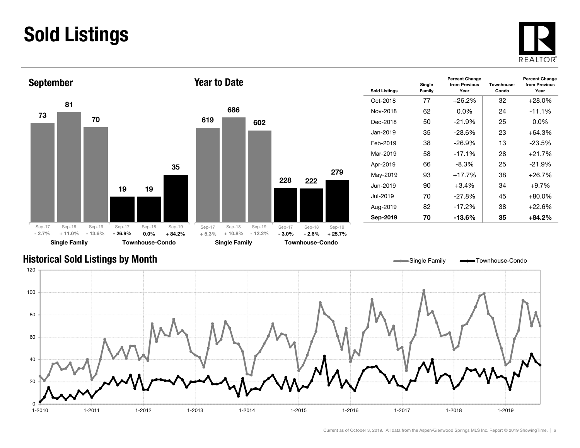### Sold Listings





| <b>Sold Listings</b> | Single<br>Family | <b>Percent Change</b><br>from Previous<br>Year | Townhouse-<br>Condo | <b>Percent Change</b><br>from Previous<br>Year |
|----------------------|------------------|------------------------------------------------|---------------------|------------------------------------------------|
| Oct-2018             | 77               | $+26.2%$                                       | 32                  | $+28.0\%$                                      |
| Nov-2018             | 62               | $0.0\%$                                        | 24                  | $-11.1%$                                       |
| Dec-2018             | 50               | -21.9%                                         | 25                  | 0.0%                                           |
| Jan-2019             | 35               | $-28.6\%$                                      | 23                  | $+64.3%$                                       |
| Feb-2019             | 38               | $-26.9\%$                                      | 13                  | $-23.5%$                                       |
| Mar-2019             | 58               | $-17.1%$                                       | 28                  | $+21.7%$                                       |
| Apr-2019             | 66               | $-8.3\%$                                       | 25                  | $-21.9%$                                       |
| May-2019             | 93               | $+17.7%$                                       | 38                  | $+26.7%$                                       |
| Jun-2019             | 90               | $+3.4%$                                        | 34                  | $+9.7%$                                        |
| Jul-2019.            | 70               | $-27.8%$                                       | 45                  | $+80.0%$                                       |
| Aug-2019             | 82               | $-17.2%$                                       | 38                  | $+22.6\%$                                      |
| Sep-2019             | 70               | -13.6%                                         | 35                  | $+84.2%$                                       |

Single Family **-** Townhouse-Condo

#### Historical Sold Listings by Month

020 406080 100120 1-2010 1-2011 1-2012 1-2013 1-2014 1-2015 1-2016 1-2017 1-2018 1-20191-2019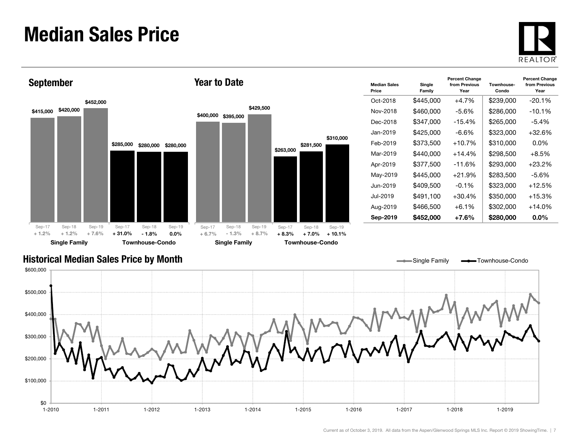#### Median Sales Price





| <b>Median Sales</b><br>Price | Single<br>Family | <b>Percent Change</b><br>from Previous<br>Year | Townhouse-<br>Condo | <b>Percent Change</b><br>from Previous<br>Year |
|------------------------------|------------------|------------------------------------------------|---------------------|------------------------------------------------|
| Oct-2018                     | \$445,000        | $+4.7%$                                        | \$239,000           | $-20.1%$                                       |
| Nov-2018                     | \$460,000        | -5.6%                                          | \$286,000           | $-10.1%$                                       |
| Dec-2018                     | \$347,000        | $-15.4%$                                       | \$265,000           | $-5.4\%$                                       |
| Jan-2019.                    | \$425,000        | -6.6%                                          | \$323,000           | +32.6%                                         |
| Feb-2019                     | \$373,500        | $+10.7%$                                       | \$310,000           | $0.0\%$                                        |
| Mar-2019                     | \$440,000        | $+14.4%$                                       | \$298,500           | $+8.5\%$                                       |
| Apr-2019                     | \$377,500        | -11.6%                                         | \$293.000           | +23.2%                                         |
| May-2019                     | \$445,000        | $+21.9%$                                       | \$283,500           | -5.6%                                          |
| Jun-2019.                    | \$409,500        | $-0.1\%$                                       | \$323,000           | $+12.5%$                                       |
| Jul-2019.                    | \$491,100        | $+30.4\%$                                      | \$350,000           | $+15.3%$                                       |
| Aug-2019                     | \$466,500        | $+6.1%$                                        | \$302,000           | $+14.0\%$                                      |
| Sep-2019                     | \$452,000        | $+7.6\%$                                       | \$280.000           | $0.0\%$                                        |

Single Family **-** Townhouse-Condo

#### Historical Median Sales Price by Month

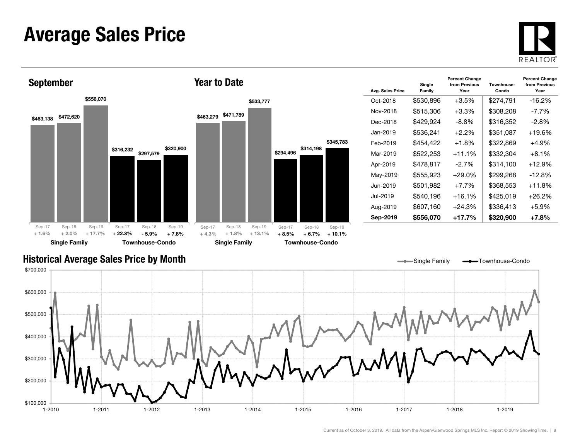#### Average Sales Price





| Avg. Sales Price | Single<br>Family | <b>Percent Change</b><br>from Previous<br>Year | Townhouse-<br>Condo | <b>Percent Change</b><br>from Previous<br>Year |
|------------------|------------------|------------------------------------------------|---------------------|------------------------------------------------|
| Oct-2018         | \$530,896        | $+3.5%$                                        | \$274,791           | $-16.2%$                                       |
| Nov-2018         | \$515,306        | $+3.3%$                                        | \$308,208           | $-7.7\%$                                       |
| Dec-2018         | \$429,924        | -8.8%                                          | \$316,352           | $-2.8\%$                                       |
| Jan-2019         | \$536,241        | $+2.2%$                                        | \$351,087           | $+19.6%$                                       |
| Feb-2019         | \$454.422        | $+1.8%$                                        | \$322,869           | $+4.9%$                                        |
| Mar-2019         | \$522,253        | $+11.1%$                                       | \$332,304           | $+8.1\%$                                       |
| Apr-2019         | \$478,817        | $-2.7%$                                        | \$314.100           | +12.9%                                         |
| May-2019         | \$555,923        | $+29.0%$                                       | \$299,268           | $-12.8%$                                       |
| Jun-2019.        | \$501,982        | $+7.7\%$                                       | \$368,553           | $+11.8%$                                       |
| Jul-2019         | \$540,196        | $+16.1%$                                       | \$425,019           | +26.2%                                         |
| Aug-2019         | \$607,160        | $+24.3%$                                       | \$336,413           | $+5.9\%$                                       |
| Sep-2019         | \$556,070        | +17.7%                                         | \$320,900           | +7.8%                                          |

Single Family **-**Townhouse-Condo

#### Historical Average Sales Price by Month

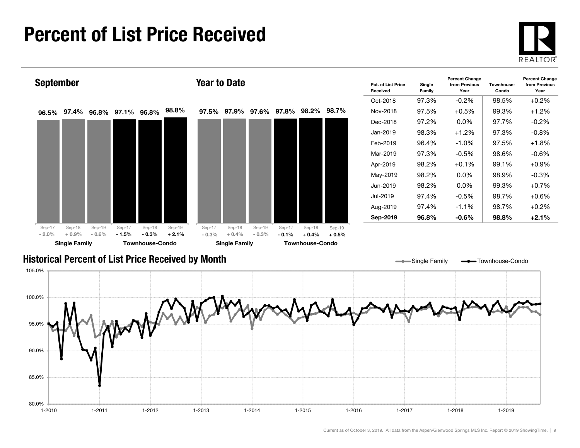#### Percent of List Price Received





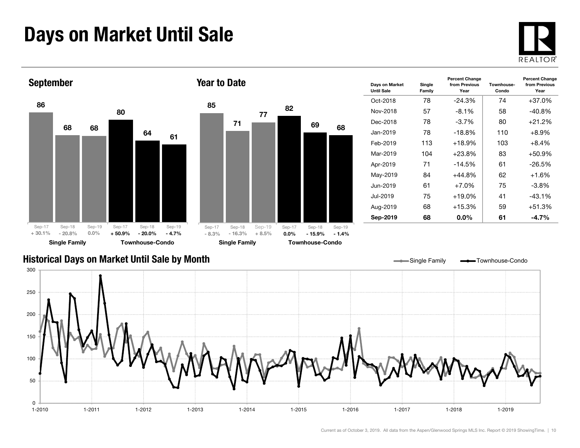### Days on Market Until Sale





|                   |                    |                   |                   |                    |                   | Until |
|-------------------|--------------------|-------------------|-------------------|--------------------|-------------------|-------|
| 85                |                    |                   |                   |                    |                   | Oct   |
|                   |                    | 77                | 82                |                    |                   | Nov   |
|                   | 71                 |                   |                   | 69                 |                   | Dec   |
|                   |                    |                   |                   |                    | 68                | Jan   |
|                   |                    |                   |                   |                    |                   | Feb   |
|                   |                    |                   |                   |                    |                   | Mar   |
|                   |                    |                   |                   |                    |                   | Apr   |
|                   |                    |                   |                   |                    |                   | May   |
|                   |                    |                   |                   |                    |                   | Jun   |
|                   |                    |                   |                   |                    |                   | Jul-  |
|                   |                    |                   |                   |                    |                   | Aug   |
|                   |                    |                   |                   |                    |                   | Sep   |
| Sep-17<br>$-8.3%$ | Sep-18<br>$-16.3%$ | Sep-19<br>$+8.5%$ | Sep-17<br>$0.0\%$ | Sep-18<br>$-15.9%$ | Sep-19<br>$-1.4%$ |       |
|                   |                    |                   |                   |                    |                   |       |

| Days on Market<br><b>Until Sale</b> | Single<br>Family | <b>Percent Change</b><br>from Previous<br>Year | Townhouse-<br>Condo | <b>Percent Change</b><br>from Previous<br>Year |
|-------------------------------------|------------------|------------------------------------------------|---------------------|------------------------------------------------|
| Oct-2018                            | 78               | $-24.3%$                                       | 74                  | $+37.0%$                                       |
| Nov-2018                            | 57               | $-8.1\%$                                       | 58                  | $-40.8%$                                       |
| Dec-2018                            | 78               | $-3.7\%$                                       | 80                  | $+21.2%$                                       |
| Jan-2019                            | 78               | $-18.8%$                                       | 110                 | $+8.9%$                                        |
| Feb-2019                            | 113              | $+18.9%$                                       | 103                 | $+8.4%$                                        |
| Mar-2019                            | 104              | $+23.8%$                                       | 83                  | +50.9%                                         |
| Apr-2019                            | 71               | $-14.5%$                                       | 61                  | $-26.5%$                                       |
| May-2019                            | 84               | $+44.8%$                                       | 62                  | $+1.6%$                                        |
| Jun-2019                            | 61               | $+7.0%$                                        | 75                  | $-3.8\%$                                       |
| Jul-2019                            | 75               | $+19.0\%$                                      | 41                  | $-43.1%$                                       |
| Aug-2019                            | 68               | $+15.3%$                                       | 59                  | +51.3%                                         |
| Sep-2019                            | 68               | $0.0\%$                                        | 61                  | $-4.7%$                                        |

#### Historical Days on Market Until Sale by Month

0

50

100

150

200

250

300

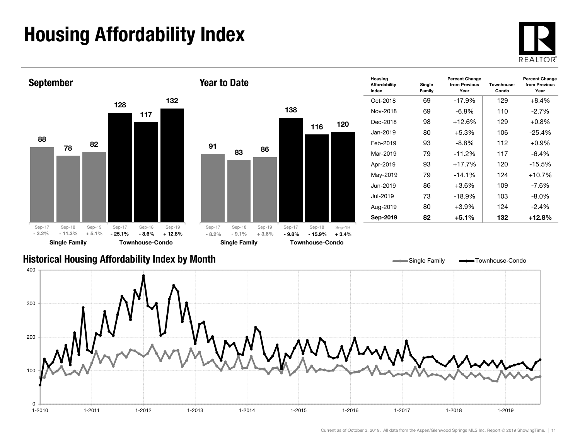## Housing Affordability Index









Current as of October 3, 2019. All data from the Aspen/Glenwood Springs MLS Inc. Report © 2019 ShowingTime. | 11

Single Family **-** Townhouse-Condo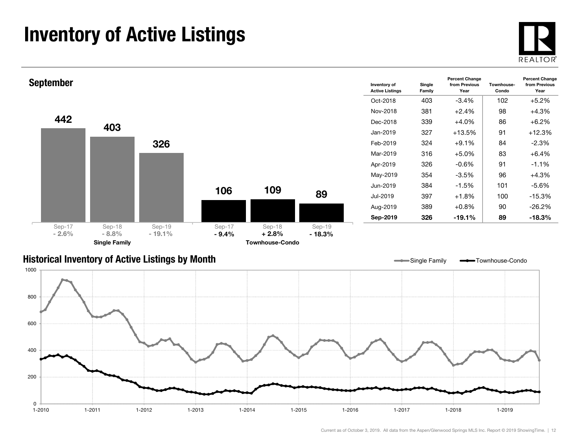### Inventory of Active Listings





#### Historical Inventory of Active Listings by Month

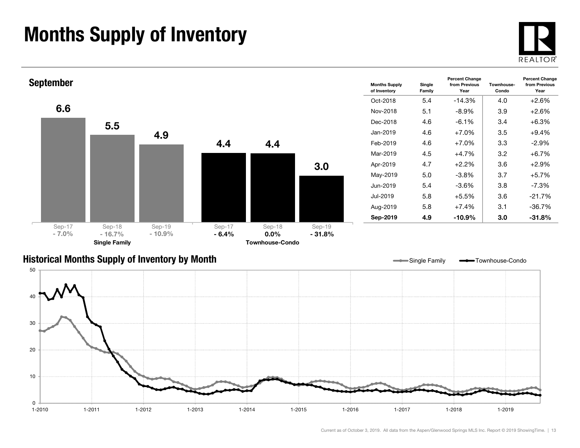### Months Supply of Inventory





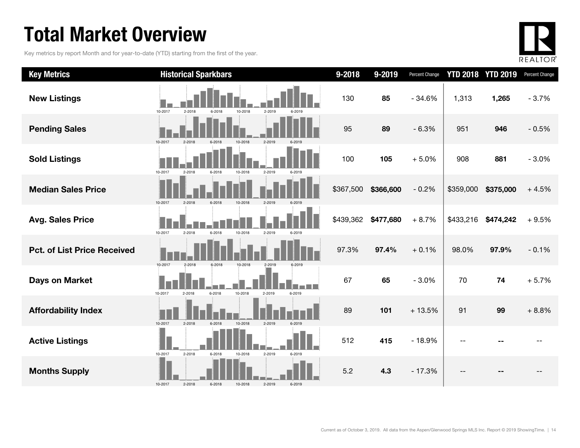### Total Market Overview

Key metrics by report Month and for year-to-date (YTD) starting from the first of the year.



| <b>Key Metrics</b>                 | <b>Historical Sparkbars</b>                                | 9-2018    | 9-2019    | Percent Change |           | <b>YTD 2018 YTD 2019</b> | Percent Change |
|------------------------------------|------------------------------------------------------------|-----------|-----------|----------------|-----------|--------------------------|----------------|
| <b>New Listings</b>                | 10-2017<br>2-2018<br>10-2018<br>2-2019<br>6-2018<br>6-2019 | 130       | 85        | $-34.6%$       | 1,313     | 1,265                    | $-3.7%$        |
| <b>Pending Sales</b>               | 10-2017<br>2-2019<br>2-2018<br>6-2018<br>10-2018           | 95        | 89        | $-6.3%$        | 951       | 946                      | $-0.5%$        |
| <b>Sold Listings</b>               | 10-2017<br>2-2019<br>2-2018<br>6-2018<br>10-2018           | 100       | 105       | $+5.0%$        | 908       | 881                      | $-3.0%$        |
| <b>Median Sales Price</b>          | 10-2017<br>2-2018<br>6-2018<br>10-2018<br>2-2019<br>6-2019 | \$367,500 | \$366,600 | $-0.2%$        | \$359,000 | \$375,000                | $+4.5%$        |
| <b>Avg. Sales Price</b>            | 10-2017<br>2-2018<br>6-2018<br>10-2018<br>2-2019<br>6-2019 | \$439,362 | \$477,680 | $+8.7%$        | \$433,216 | \$474,242                | $+9.5%$        |
| <b>Pct. of List Price Received</b> | 10-2017<br>$2-2018$<br>6-2018<br>10-2018<br>2-2019         | 97.3%     | 97.4%     | $+0.1%$        | 98.0%     | 97.9%                    | $-0.1%$        |
| <b>Days on Market</b>              | 10-2017<br>6-2018<br>10-2018<br>2-2019<br>6-2019<br>2-2018 | 67        | 65        | $-3.0%$        | 70        | 74                       | $+5.7%$        |
| <b>Affordability Index</b>         | 10-2017<br>2-2018<br>2-2019<br>6-2018<br>10-2018<br>6-2019 | 89        | 101       | $+13.5%$       | 91        | 99                       | $+8.8%$        |
| <b>Active Listings</b>             | 10-2017<br>2-2018<br>2-2019<br>6-2018<br>10-2018<br>6-2019 | 512       | 415       | $-18.9%$       |           |                          |                |
| <b>Months Supply</b>               | 2-2018<br>10-2017<br>6-2018<br>10-2018<br>2-2019<br>6-2019 | 5.2       | 4.3       | $-17.3%$       |           |                          |                |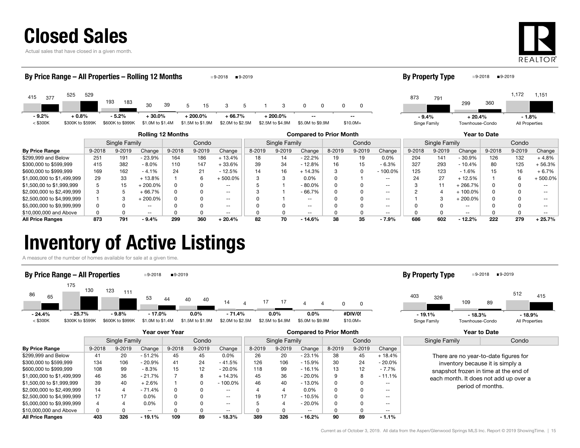

Actual sales that have closed in a given month.



| By Price Range - All Properties - Rolling 12 Months<br>$9 - 2019$<br>$9-2018$ |               |                  |                   |          |                  |                  |               |                  |                  | <b>By Property Type</b> |           |           | $9-2018$<br>$9-2019$ |        |                          |        |                |            |
|-------------------------------------------------------------------------------|---------------|------------------|-------------------|----------|------------------|------------------|---------------|------------------|------------------|-------------------------|-----------|-----------|----------------------|--------|--------------------------|--------|----------------|------------|
| 525<br>415<br>377                                                             | 529           | 193<br>183       | 30                | 39       | 5<br>15          | 3                | 5             | 3                | 0                | 0<br>0                  | 0         |           | 873                  | 791    | 299                      | 360    | 1,172          | 1,151      |
| $-9.2%$<br>$+0.8%$                                                            |               | $-5.2%$          | +30.0%            |          | $+200.0\%$       | $+66.7%$         |               | $+200.0%$        |                  |                         | $ -$      |           | $-9.4%$              |        | $+20.4%$                 |        | $-1.8%$        |            |
| $<$ \$300K<br>\$300K to \$599K                                                |               | \$600K to \$999K | \$1.0M to \$1.4M  |          | \$1.5M to \$1.9M | \$2.0M to \$2.5M |               | \$2.5M to \$4.9M | \$5.0M to \$9.9M |                         | $$10.0M+$ |           | Singe Family         |        | Townhouse-Condo          |        | All Properties |            |
| <b>Rolling 12 Months</b><br><b>Compared to Prior Month</b>                    |               |                  |                   |          |                  |                  |               |                  |                  |                         |           |           | Year to Date         |        |                          |        |                |            |
|                                                                               | Single Family |                  |                   | Condo    |                  |                  | Single Family |                  |                  | Condo                   |           |           | Single Family        |        |                          | Condo  |                |            |
| <b>By Price Range</b>                                                         | $9 - 2018$    | 9-2019           | Change            | 9-2018   | 9-2019           | Change           | 8-2019        | 9-2019           | Change           | 8-2019                  | 9-2019    | Change    | 9-2018               | 9-2019 | Change                   | 9-2018 | 9-2019         | Change     |
| \$299,999 and Below                                                           | 251           | 191              | $-23.9%$          | 164      | 186              | $+13.4%$         | 18            | 14               | - 22.2%          | 19                      | 19        | 0.0%      | 204                  | 141    | $-30.9%$                 | 126    | 132            | $+4.8%$    |
| \$300,000 to \$599,999                                                        | 415           | 382              | $-8.0%$           | 110      | 147              | $+33.6%$         | 39            | 34               | $-12.8%$         | 16                      | 15        | $-6.3%$   | 327                  | 293    | $-10.4%$                 | 80     | 125            | $+56.3%$   |
| \$600,000 to \$999,999                                                        | 169           | 162              | $-4.1%$           | 24       | 21               | $-12.5%$         | 14            | 16               | $+14.3%$         | 3                       | 0         | $-100.0%$ | 125                  | 123    | $-1.6%$                  | 15     | 16             | $+6.7%$    |
| \$1,000,000 to \$1,499,999                                                    | 29            | 33               | $+13.8%$          |          | 6                | $+500.0\%$       |               |                  | 0.0%             |                         |           | $- -$     | 24                   | 27     | $+12.5%$                 |        |                | $+500.0\%$ |
| \$1,500,00 to \$1,999,999                                                     |               | 15               | $+200.0\%$        |          |                  | $- -$            |               |                  | $-80.0\%$        |                         |           | $- -$     |                      | 11     | $+266.7%$                |        |                |            |
| \$2,000,000 to \$2,499,999                                                    |               | 5                | $+66.7%$          | $\Omega$ |                  | $\sim$ $\sim$    |               |                  | $-66.7%$         |                         |           | $- -$     |                      | 4      | $+100.0%$                |        |                |            |
| \$2,500,000 to \$4,999,999                                                    |               | 3                | $+200.0\%$        |          |                  | $\sim$ $\sim$    |               |                  | $\sim$ $\sim$    |                         |           | $- -$     |                      | 3      | $+200.0%$                |        |                |            |
| \$5,000,000 to \$9,999,999                                                    |               |                  | $\qquad \qquad -$ |          |                  | $\sim$ $\sim$    |               |                  | $\sim$ $\sim$    |                         |           | $- -$     |                      |        | $\overline{\phantom{m}}$ |        |                |            |
| \$10,000,000 and Above                                                        | <sup>0</sup>  | $\Omega$         | $\frac{1}{2}$     |          |                  | $\sim$ $\sim$    |               |                  | $\sim$ $\sim$    |                         |           | $- -$     |                      | O      | $\overline{\phantom{m}}$ |        |                | --         |
| <b>All Price Ranges</b>                                                       | 873           | 791              | $-9.4%$           | 299      | 360              | $+20.4%$         | 82            | 70               | $-14.6%$         | 38                      | 35        | $-7.9%$   | 686                  | 602    | $-12.2%$                 | 222    | 279            | $+25.7%$   |

All Price Ranges 873 791 - 9.4% 299 360 + 20.4% 82 70 - 14.6% 38 35 - 7.9% 686 602 - 12.2% 222 279 + 25.7%

#### Inventory of Active Listings

A measure of the number of homes available for sale at a given time.



|                            | Year over Year |               |           |            |            |                          |        |               | <b>Compared to Prior Month</b> |        |        | Year to Date      |               |                                       |  |
|----------------------------|----------------|---------------|-----------|------------|------------|--------------------------|--------|---------------|--------------------------------|--------|--------|-------------------|---------------|---------------------------------------|--|
|                            |                | Single Family |           |            | Condo      |                          |        | Single Family |                                | Condo  |        |                   | Single Family | Condo                                 |  |
| <b>By Price Range</b>      | 9-2018         | 9-2019        | Change    | $9 - 2018$ | $9 - 2019$ | Change                   | 8-2019 | 9-2019        | Change                         | 8-2019 | 9-2019 | Change            |               |                                       |  |
| \$299,999 and Below        | 41             | 20            | $-51.2%$  | 45         | 45         | $0.0\%$                  | 26     | 20            | $-23.1%$                       | 38     | 45     | $+18.4%$          |               | There are no year-to-date figures for |  |
| \$300,000 to \$599,999     | 134            | 106           | $-20.9\%$ | 41         | 24         | $-41.5%$                 | 126    | 106           | $-15.9%$                       | 30     | 24     | - 20.0%           |               | inventory because it is simply a      |  |
| \$600,000 to \$999,999     | 108            | 99            | - 8.3%    | 15         | 12         | $-20.0%$                 | 118    | 99            | $-16.1%$                       | 13     | 12     | - 7.7%            |               | snapshot frozen in time at the end of |  |
| \$1,000,000 to \$1,499,999 | 46             | 36            | $-21.7%$  |            |            | $+14.3%$                 | 45     | 36            | $-20.0\%$                      | 9      |        | $-11.1%$          |               | each month. It does not add up over a |  |
| \$1,500,00 to \$1,999,999  | 39             | 40            | $+2.6%$   |            |            | $-100.0\%$               | 46     | 40            | $-13.0%$                       | 0      |        | $- -$             |               | period of months.                     |  |
| \$2,000,000 to \$2,499,999 | 14             | 4             | $-71.4%$  | 0          |            | $- -$                    |        | 4             | $0.0\%$                        | 0      |        | $- -$             |               |                                       |  |
| \$2,500,000 to \$4,999,999 | 17             | 17            | $0.0\%$   | 0          |            | $\overline{\phantom{m}}$ | 19     | 17            | $-10.5\%$                      | 0      |        | $\qquad \qquad -$ |               |                                       |  |
| \$5,000,000 to \$9,999,999 |                | 4             | $0.0\%$   | 0          |            | $- -$                    |        | 4             | $-20.0\%$                      | 0      |        | $- -$             |               |                                       |  |
| \$10,000,000 and Above     | $\Omega$       | 0             | $- -$     |            |            | $- -$                    |        | 0             | $\sim$ $\sim$                  | 0      |        | $- -$             |               |                                       |  |
| <b>All Price Ranges</b>    | 403            | 326           | $-19.1%$  | 109        | 89         | $-18.3%$                 | 389    | 326           | $-16.2%$                       | 90     | 89     | $-1.1%$           |               |                                       |  |